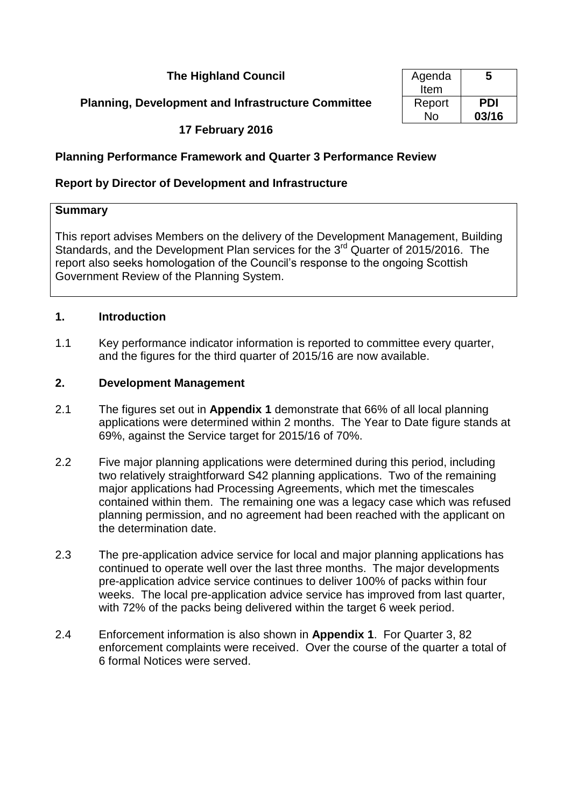## **The Highland Council**

#### **Planning, Development and Infrastructure Committee**

| Agenda | 5          |
|--------|------------|
| Item   |            |
| Report | <b>PDI</b> |
| N٥     | 03/16      |

#### **17 February 2016**

#### **Planning Performance Framework and Quarter 3 Performance Review**

#### **Report by Director of Development and Infrastructure**

#### **Summary**

This report advises Members on the delivery of the Development Management, Building Standards, and the Development Plan services for the  $3<sup>rd</sup>$  Quarter of 2015/2016. The report also seeks homologation of the Council's response to the ongoing Scottish Government Review of the Planning System.

#### **1. Introduction**

1.1 Key performance indicator information is reported to committee every quarter, and the figures for the third quarter of 2015/16 are now available.

#### **2. Development Management**

- 2.1 The figures set out in **Appendix 1** demonstrate that 66% of all local planning applications were determined within 2 months. The Year to Date figure stands at 69%, against the Service target for 2015/16 of 70%.
- 2.2 Five major planning applications were determined during this period, including two relatively straightforward S42 planning applications. Two of the remaining major applications had Processing Agreements, which met the timescales contained within them. The remaining one was a legacy case which was refused planning permission, and no agreement had been reached with the applicant on the determination date.
- 2.3 The pre-application advice service for local and major planning applications has continued to operate well over the last three months. The major developments pre-application advice service continues to deliver 100% of packs within four weeks. The local pre-application advice service has improved from last quarter, with 72% of the packs being delivered within the target 6 week period.
- 2.4 Enforcement information is also shown in **Appendix 1**. For Quarter 3, 82 enforcement complaints were received. Over the course of the quarter a total of 6 formal Notices were served.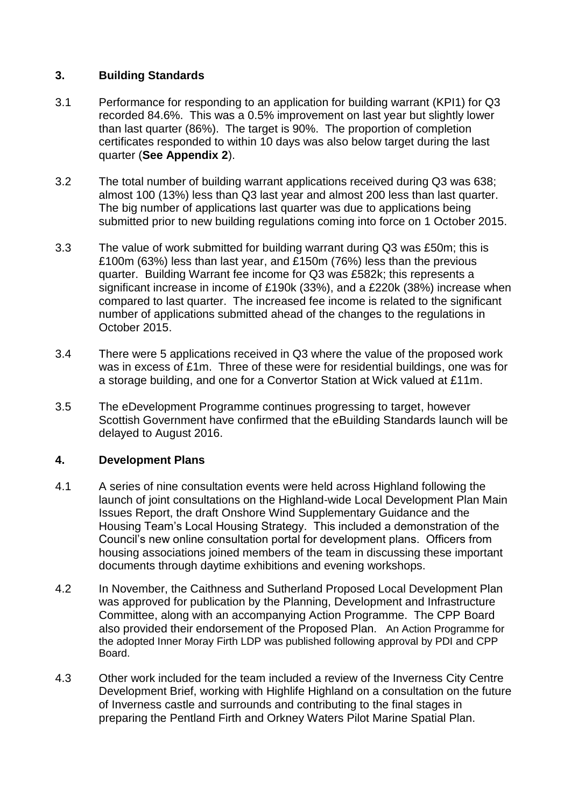### **3. Building Standards**

- 3.1 Performance for responding to an application for building warrant (KPI1) for Q3 recorded 84.6%. This was a 0.5% improvement on last year but slightly lower than last quarter (86%). The target is 90%. The proportion of completion certificates responded to within 10 days was also below target during the last quarter (**See Appendix 2**).
- 3.2 The total number of building warrant applications received during Q3 was 638; almost 100 (13%) less than Q3 last year and almost 200 less than last quarter. The big number of applications last quarter was due to applications being submitted prior to new building regulations coming into force on 1 October 2015.
- 3.3 The value of work submitted for building warrant during Q3 was £50m; this is £100m (63%) less than last year, and £150m (76%) less than the previous quarter. Building Warrant fee income for Q3 was £582k; this represents a significant increase in income of £190k (33%), and a £220k (38%) increase when compared to last quarter. The increased fee income is related to the significant number of applications submitted ahead of the changes to the regulations in October 2015.
- 3.4 There were 5 applications received in Q3 where the value of the proposed work was in excess of £1m. Three of these were for residential buildings, one was for a storage building, and one for a Convertor Station at Wick valued at £11m.
- 3.5 The eDevelopment Programme continues progressing to target, however Scottish Government have confirmed that the eBuilding Standards launch will be delayed to August 2016.

## **4. Development Plans**

- 4.1 A series of nine consultation events were held across Highland following the launch of joint consultations on the Highland-wide Local Development Plan Main Issues Report, the draft Onshore Wind Supplementary Guidance and the Housing Team's Local Housing Strategy. This included a demonstration of the Council's new online consultation portal for development plans. Officers from housing associations joined members of the team in discussing these important documents through daytime exhibitions and evening workshops.
- 4.2 In November, the Caithness and Sutherland Proposed Local Development Plan was approved for publication by the Planning, Development and Infrastructure Committee, along with an accompanying Action Programme. The CPP Board also provided their endorsement of the Proposed Plan. An Action Programme for the adopted Inner Moray Firth LDP was published following approval by PDI and CPP Board.
- 4.3 Other work included for the team included a review of the Inverness City Centre Development Brief, working with Highlife Highland on a consultation on the future of Inverness castle and surrounds and contributing to the final stages in preparing the Pentland Firth and Orkney Waters Pilot Marine Spatial Plan.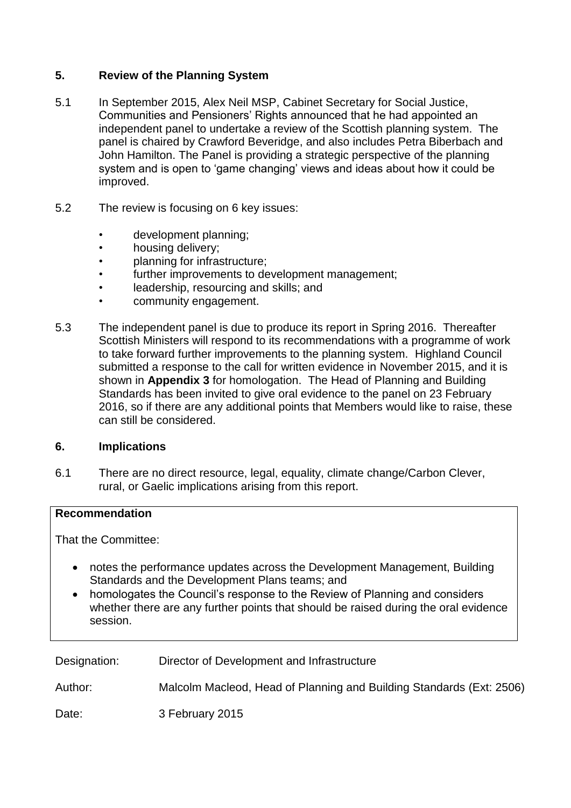## **5. Review of the Planning System**

- 5.1 In September 2015, Alex Neil MSP, Cabinet Secretary for Social Justice, Communities and Pensioners' Rights announced that he had appointed an independent panel to undertake a review of the Scottish planning system. The panel is chaired by Crawford Beveridge, and also includes Petra Biberbach and John Hamilton. The Panel is providing a strategic perspective of the planning system and is open to 'game changing' views and ideas about how it could be improved.
- 5.2 The review is focusing on 6 key issues:
	- development planning;
	- housing delivery;
	- planning for infrastructure;
	- further improvements to development management;
	- leadership, resourcing and skills; and
	- community engagement.
- 5.3 The independent panel is due to produce its report in Spring 2016. Thereafter Scottish Ministers will respond to its recommendations with a programme of work to take forward further improvements to the planning system. Highland Council submitted a response to the call for written evidence in November 2015, and it is shown in **Appendix 3** for homologation. The Head of Planning and Building Standards has been invited to give oral evidence to the panel on 23 February 2016, so if there are any additional points that Members would like to raise, these can still be considered.

#### **6. Implications**

6.1 There are no direct resource, legal, equality, climate change/Carbon Clever, rural, or Gaelic implications arising from this report.

#### **Recommendation**

That the Committee:

- notes the performance updates across the Development Management, Building Standards and the Development Plans teams; and
- homologates the Council's response to the Review of Planning and considers whether there are any further points that should be raised during the oral evidence session.

| Designation: | Director of Development and Infrastructure                           |
|--------------|----------------------------------------------------------------------|
| Author:      | Malcolm Macleod, Head of Planning and Building Standards (Ext: 2506) |
| Date:        | 3 February 2015                                                      |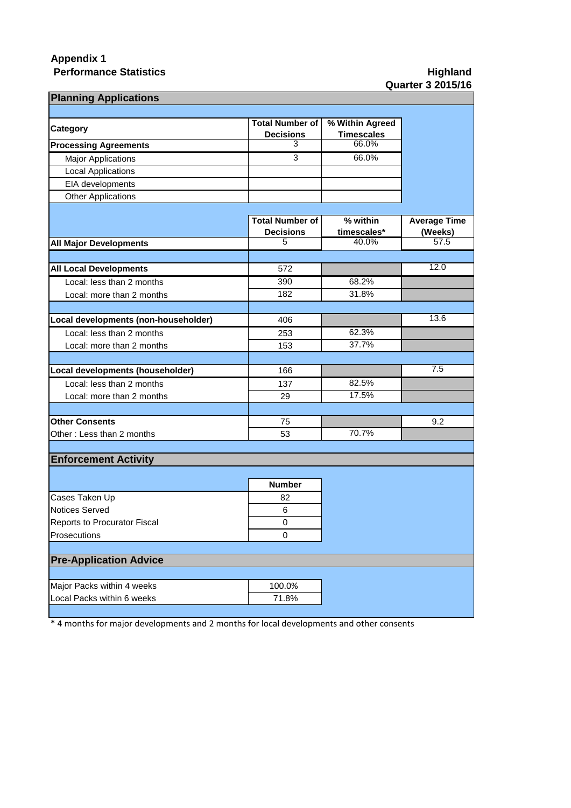## **Appendix 1 Performance Statistics Manufacture 3 and 2 and 3 and 3 and 4 and 4 and 4 and 4 and 4 and 4 and 4 and 4 and 4 and 4 and 4 and 4 and 4 and 4 and 4 and 4 and 4 and 4 and 4 and 4 and 4 and 4 and 4 and 4 and 4 and 4 and 4 an**

# **Quarter 3 2015/16**

| <b>Planning Applications</b>         |                        |                      |                     |  |  |  |
|--------------------------------------|------------------------|----------------------|---------------------|--|--|--|
|                                      | <b>Total Number of</b> | % Within Agreed      |                     |  |  |  |
| Category                             | <b>Decisions</b>       | <b>Timescales</b>    |                     |  |  |  |
| <b>Processing Agreements</b>         | 3                      | 66.0%                |                     |  |  |  |
| <b>Major Applications</b>            | 3                      | 66.0%                |                     |  |  |  |
| <b>Local Applications</b>            |                        |                      |                     |  |  |  |
| EIA developments                     |                        |                      |                     |  |  |  |
| <b>Other Applications</b>            |                        |                      |                     |  |  |  |
|                                      |                        |                      |                     |  |  |  |
|                                      | <b>Total Number of</b> | % within             | <b>Average Time</b> |  |  |  |
|                                      | <b>Decisions</b><br>5  | timescales*<br>40.0% | (Weeks)<br>57.5     |  |  |  |
| <b>All Major Developments</b>        |                        |                      |                     |  |  |  |
|                                      |                        |                      | 12.0                |  |  |  |
| <b>All Local Developments</b>        | 572                    |                      |                     |  |  |  |
| Local: less than 2 months            | 390                    | 68.2%                |                     |  |  |  |
| Local: more than 2 months            | 182                    | 31.8%                |                     |  |  |  |
|                                      |                        |                      | 13.6                |  |  |  |
| Local developments (non-householder) | 406                    | 62.3%                |                     |  |  |  |
| Local: less than 2 months            | 253                    | 37.7%                |                     |  |  |  |
| Local: more than 2 months            | 153                    |                      |                     |  |  |  |
| Local developments (householder)     | 166                    |                      | 7.5                 |  |  |  |
| Local: less than 2 months            | 137                    | 82.5%                |                     |  |  |  |
| Local: more than 2 months            | 29                     | 17.5%                |                     |  |  |  |
|                                      |                        |                      |                     |  |  |  |
| <b>Other Consents</b>                | 75                     |                      | 9.2                 |  |  |  |
| Other: Less than 2 months            | 53                     | 70.7%                |                     |  |  |  |
|                                      |                        |                      |                     |  |  |  |
| <b>Enforcement Activity</b>          |                        |                      |                     |  |  |  |
|                                      |                        |                      |                     |  |  |  |
|                                      | <b>Number</b>          |                      |                     |  |  |  |
| Cases Taken Up                       | 82                     |                      |                     |  |  |  |
| <b>Notices Served</b>                | 6                      |                      |                     |  |  |  |
| <b>Reports to Procurator Fiscal</b>  | 0                      |                      |                     |  |  |  |
| Prosecutions                         | 0                      |                      |                     |  |  |  |
| <b>Pre-Application Advice</b>        |                        |                      |                     |  |  |  |
|                                      |                        |                      |                     |  |  |  |
| Major Packs within 4 weeks           | 100.0%                 |                      |                     |  |  |  |
| Local Packs within 6 weeks           | 71.8%                  |                      |                     |  |  |  |
|                                      |                        |                      |                     |  |  |  |

\* 4 months for major developments and 2 months for local developments and other consents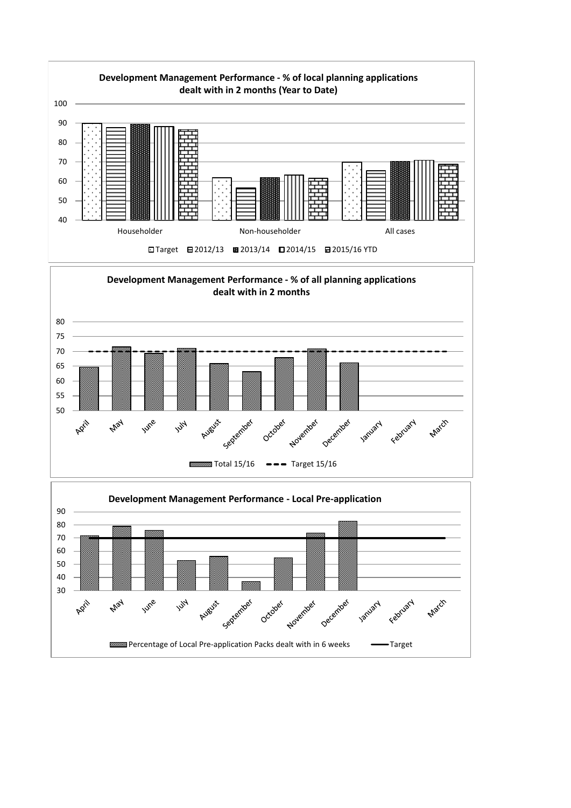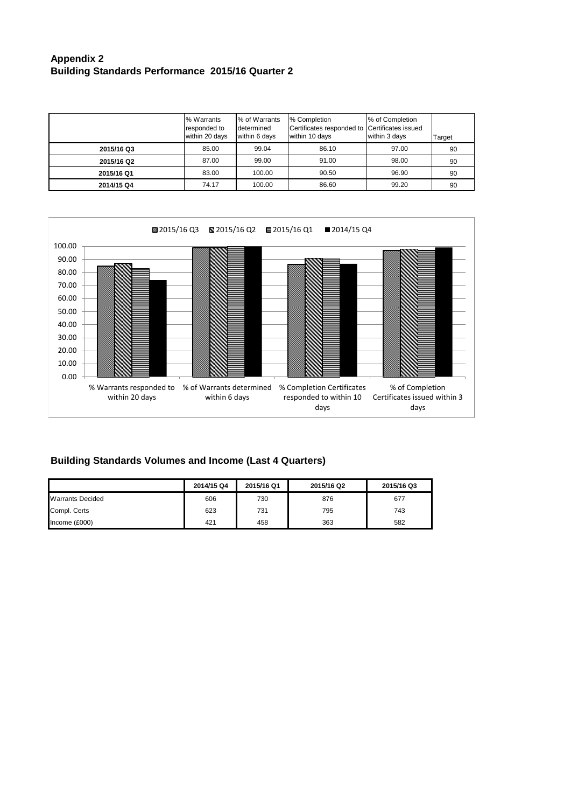#### **Appendix 2 Building Standards Performance 2015/16 Quarter 2**

|            | % Warrants<br>responded to<br>within 20 days | % of Warrants<br>determined<br>within 6 days | % Completion<br>Certificates responded to Certificates issued<br>within 10 days | % of Completion<br>within 3 days | Target |
|------------|----------------------------------------------|----------------------------------------------|---------------------------------------------------------------------------------|----------------------------------|--------|
| 2015/16 Q3 | 85.00                                        | 99.04                                        | 86.10                                                                           | 97.00                            | 90     |
| 2015/16 Q2 | 87.00                                        | 99.00                                        | 91.00                                                                           | 98.00                            | 90     |
| 2015/16 Q1 | 83.00                                        | 100.00                                       | 90.50                                                                           | 96.90                            | 90     |
| 2014/15 Q4 | 74.17                                        | 100.00                                       | 86.60                                                                           | 99.20                            | 90     |



## **Building Standards Volumes and Income (Last 4 Quarters)**

|                         | 2014/15 Q4 | 2015/16 Q1 | 2015/16 Q2 | 2015/16 Q3 |
|-------------------------|------------|------------|------------|------------|
| <b>Warrants Decided</b> | 606        | 730        | 876        | 677        |
| Compl. Certs            | 623        | 731        | 795        | 743        |
| Income (£000)           | 421        | 458        | 363        | 582        |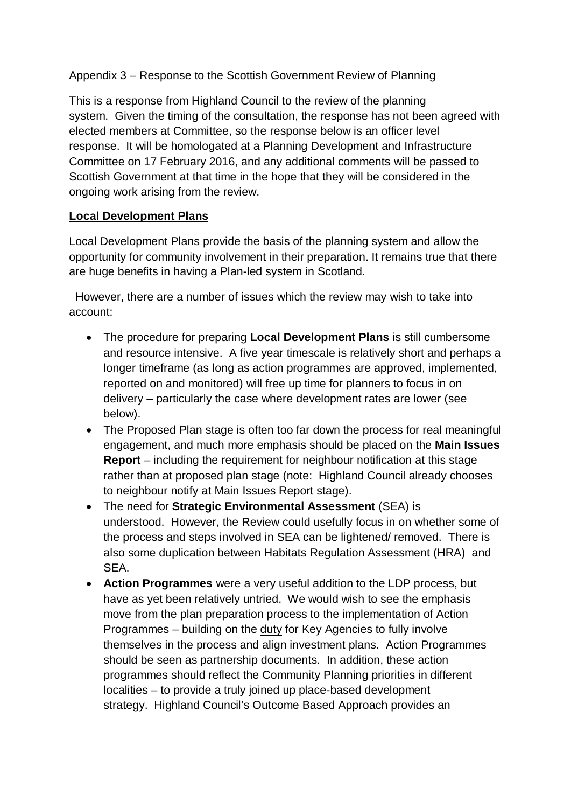Appendix 3 – Response to the Scottish Government Review of Planning

This is a response from Highland Council to the review of the planning system. Given the timing of the consultation, the response has not been agreed with elected members at Committee, so the response below is an officer level response. It will be homologated at a Planning Development and Infrastructure Committee on 17 February 2016, and any additional comments will be passed to Scottish Government at that time in the hope that they will be considered in the ongoing work arising from the review.

## **Local Development Plans**

Local Development Plans provide the basis of the planning system and allow the opportunity for community involvement in their preparation. It remains true that there are huge benefits in having a Plan-led system in Scotland.

 However, there are a number of issues which the review may wish to take into account:

- The procedure for preparing **Local Development Plans** is still cumbersome and resource intensive. A five year timescale is relatively short and perhaps a longer timeframe (as long as action programmes are approved, implemented, reported on and monitored) will free up time for planners to focus in on delivery – particularly the case where development rates are lower (see below).
- The Proposed Plan stage is often too far down the process for real meaningful engagement, and much more emphasis should be placed on the **Main Issues Report** – including the requirement for neighbour notification at this stage rather than at proposed plan stage (note: Highland Council already chooses to neighbour notify at Main Issues Report stage).
- The need for **Strategic Environmental Assessment** (SEA) is understood. However, the Review could usefully focus in on whether some of the process and steps involved in SEA can be lightened/ removed. There is also some duplication between Habitats Regulation Assessment (HRA) and SEA.
- **Action Programmes** were a very useful addition to the LDP process, but have as yet been relatively untried. We would wish to see the emphasis move from the plan preparation process to the implementation of Action Programmes – building on the duty for Key Agencies to fully involve themselves in the process and align investment plans. Action Programmes should be seen as partnership documents. In addition, these action programmes should reflect the Community Planning priorities in different localities – to provide a truly joined up place-based development strategy. Highland Council's Outcome Based Approach provides an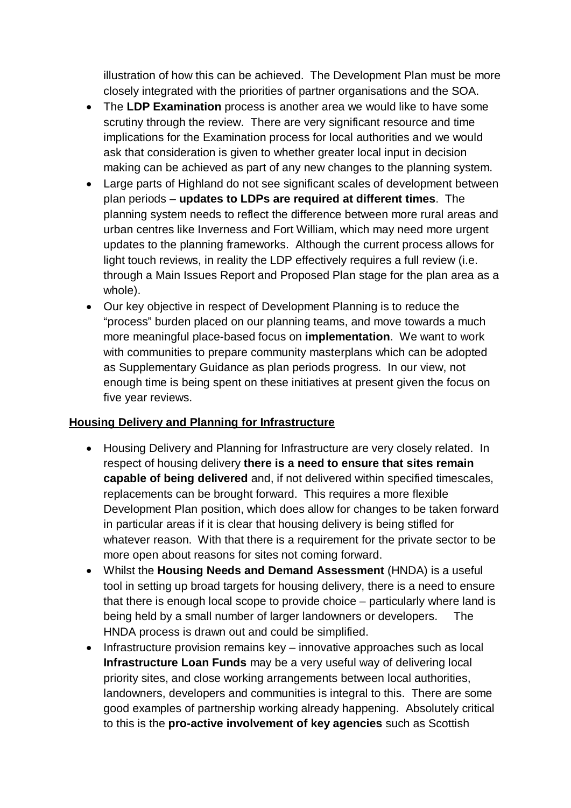illustration of how this can be achieved. The Development Plan must be more closely integrated with the priorities of partner organisations and the SOA.

- The **LDP Examination** process is another area we would like to have some scrutiny through the review. There are very significant resource and time implications for the Examination process for local authorities and we would ask that consideration is given to whether greater local input in decision making can be achieved as part of any new changes to the planning system.
- Large parts of Highland do not see significant scales of development between plan periods – **updates to LDPs are required at different times**. The planning system needs to reflect the difference between more rural areas and urban centres like Inverness and Fort William, which may need more urgent updates to the planning frameworks. Although the current process allows for light touch reviews, in reality the LDP effectively requires a full review (i.e. through a Main Issues Report and Proposed Plan stage for the plan area as a whole).
- Our key objective in respect of Development Planning is to reduce the "process" burden placed on our planning teams, and move towards a much more meaningful place-based focus on **implementation**. We want to work with communities to prepare community masterplans which can be adopted as Supplementary Guidance as plan periods progress. In our view, not enough time is being spent on these initiatives at present given the focus on five year reviews.

## **Housing Delivery and Planning for Infrastructure**

- Housing Delivery and Planning for Infrastructure are very closely related. In respect of housing delivery **there is a need to ensure that sites remain capable of being delivered** and, if not delivered within specified timescales, replacements can be brought forward. This requires a more flexible Development Plan position, which does allow for changes to be taken forward in particular areas if it is clear that housing delivery is being stifled for whatever reason. With that there is a requirement for the private sector to be more open about reasons for sites not coming forward.
- Whilst the **Housing Needs and Demand Assessment** (HNDA) is a useful tool in setting up broad targets for housing delivery, there is a need to ensure that there is enough local scope to provide choice – particularly where land is being held by a small number of larger landowners or developers. The HNDA process is drawn out and could be simplified.
- Infrastructure provision remains key innovative approaches such as local **Infrastructure Loan Funds** may be a very useful way of delivering local priority sites, and close working arrangements between local authorities, landowners, developers and communities is integral to this. There are some good examples of partnership working already happening. Absolutely critical to this is the **pro-active involvement of key agencies** such as Scottish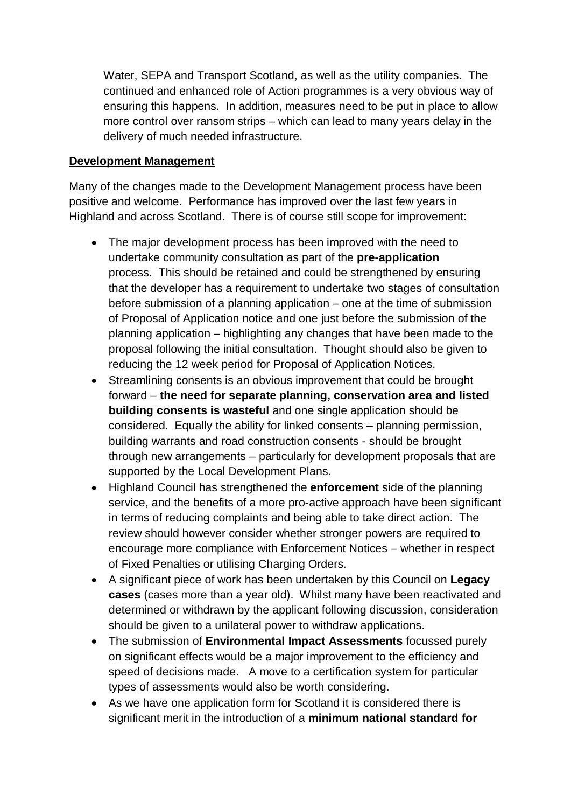Water, SEPA and Transport Scotland, as well as the utility companies. The continued and enhanced role of Action programmes is a very obvious way of ensuring this happens. In addition, measures need to be put in place to allow more control over ransom strips – which can lead to many years delay in the delivery of much needed infrastructure.

#### **Development Management**

Many of the changes made to the Development Management process have been positive and welcome. Performance has improved over the last few years in Highland and across Scotland. There is of course still scope for improvement:

- The major development process has been improved with the need to undertake community consultation as part of the **pre-application** process. This should be retained and could be strengthened by ensuring that the developer has a requirement to undertake two stages of consultation before submission of a planning application – one at the time of submission of Proposal of Application notice and one just before the submission of the planning application – highlighting any changes that have been made to the proposal following the initial consultation. Thought should also be given to reducing the 12 week period for Proposal of Application Notices.
- Streamlining consents is an obvious improvement that could be brought forward – **the need for separate planning, conservation area and listed building consents is wasteful** and one single application should be considered. Equally the ability for linked consents – planning permission, building warrants and road construction consents - should be brought through new arrangements – particularly for development proposals that are supported by the Local Development Plans.
- Highland Council has strengthened the **enforcement** side of the planning service, and the benefits of a more pro-active approach have been significant in terms of reducing complaints and being able to take direct action. The review should however consider whether stronger powers are required to encourage more compliance with Enforcement Notices – whether in respect of Fixed Penalties or utilising Charging Orders.
- A significant piece of work has been undertaken by this Council on **Legacy cases** (cases more than a year old). Whilst many have been reactivated and determined or withdrawn by the applicant following discussion, consideration should be given to a unilateral power to withdraw applications.
- The submission of **Environmental Impact Assessments** focussed purely on significant effects would be a major improvement to the efficiency and speed of decisions made. A move to a certification system for particular types of assessments would also be worth considering.
- As we have one application form for Scotland it is considered there is significant merit in the introduction of a **minimum national standard for**